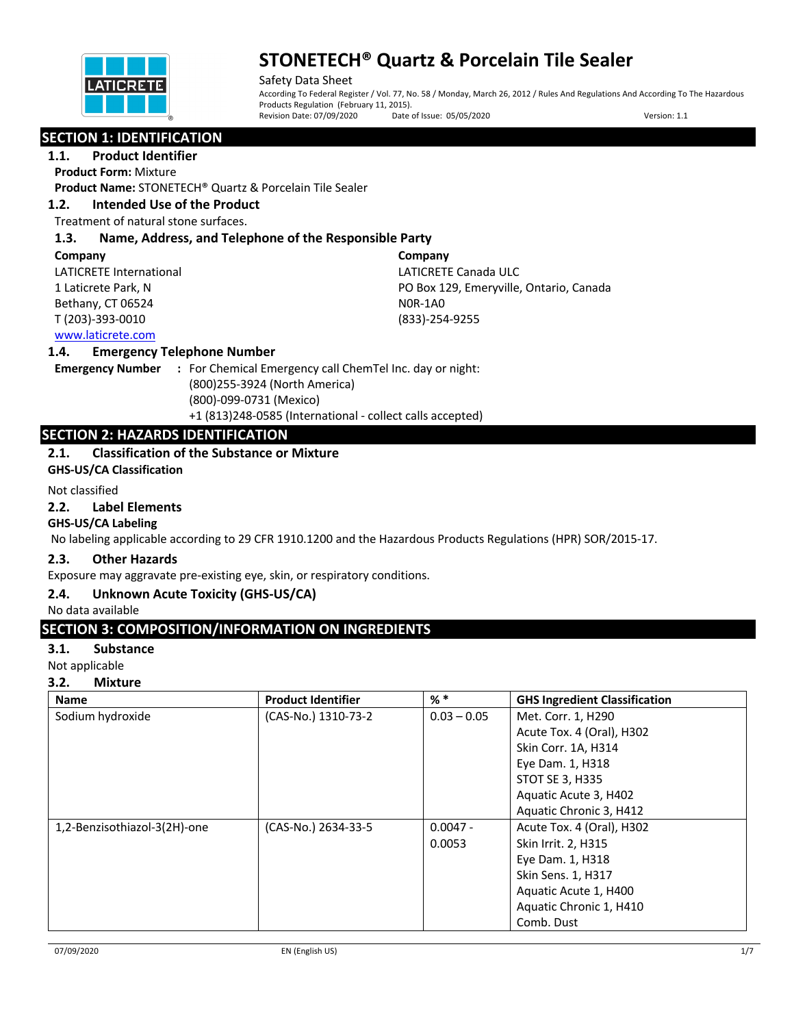

Safety Data Sheet According To Federal Register / Vol. 77, No. 58 / Monday, March 26, 2012 / Rules And Regulations And According To The Hazardous Products Regulation (February 11, 2015).<br>Revision Date: 07/09/2020 Date o Date of Issue: 05/05/2020 Version: 1.1

## **SECTION 1: IDENTIFICATION**

## **1.1. Product Identifier**

**Product Form:** Mixture

**Product Name:** STONETECH® Quartz & Porcelain Tile Sealer

## **1.2. Intended Use of the Product**

Treatment of natural stone surfaces.

## **1.3. Name, Address, and Telephone of the Responsible Party**

#### **Company**

LATICRETE International 1 Laticrete Park, N Bethany, CT 06524 T (203)-393-0010

**Company** LATICRETE Canada ULC PO Box 129, Emeryville, Ontario, Canada N0R-1A0 (833)-254-9255

## www.laticrete.com

#### **1.4. Emergency Telephone Number**

**Emergency Number :** For Chemical Emergency call ChemTel Inc. day or night: (800)255-3924 (North America) (800)-099-0731 (Mexico) +1 (813)248-0585 (International - collect calls accepted)

## **SECTION 2: HAZARDS IDENTIFICATION**

## **2.1. Classification of the Substance or Mixture**

**GHS-US/CA Classification**

#### Not classified

#### **2.2. Label Elements**

#### **GHS-US/CA Labeling**

No labeling applicable according to 29 CFR 1910.1200 and the Hazardous Products Regulations (HPR) SOR/2015-17.

#### **2.3. Other Hazards**

Exposure may aggravate pre-existing eye, skin, or respiratory conditions.

#### **2.4. Unknown Acute Toxicity (GHS-US/CA)**

No data available

## **SECTION 3: COMPOSITION/INFORMATION ON INGREDIENTS**

#### **3.1. Substance**

Not applicable

#### **3.2. Mixture**

| <b>Name</b>                  | <b>Product Identifier</b> | $%$ $*$       | <b>GHS Ingredient Classification</b> |
|------------------------------|---------------------------|---------------|--------------------------------------|
| Sodium hydroxide             | (CAS-No.) 1310-73-2       | $0.03 - 0.05$ | Met. Corr. 1, H290                   |
|                              |                           |               | Acute Tox. 4 (Oral), H302            |
|                              |                           |               | Skin Corr. 1A, H314                  |
|                              |                           |               | Eye Dam. 1, H318                     |
|                              |                           |               | <b>STOT SE 3, H335</b>               |
|                              |                           |               | Aquatic Acute 3, H402                |
|                              |                           |               | Aquatic Chronic 3, H412              |
| 1,2-Benzisothiazol-3(2H)-one | (CAS-No.) 2634-33-5       | $0.0047 -$    | Acute Tox. 4 (Oral), H302            |
|                              |                           | 0.0053        | Skin Irrit. 2, H315                  |
|                              |                           |               | Eye Dam. 1, H318                     |
|                              |                           |               | Skin Sens. 1, H317                   |
|                              |                           |               | Aquatic Acute 1, H400                |
|                              |                           |               | Aquatic Chronic 1, H410              |
|                              |                           |               | Comb. Dust                           |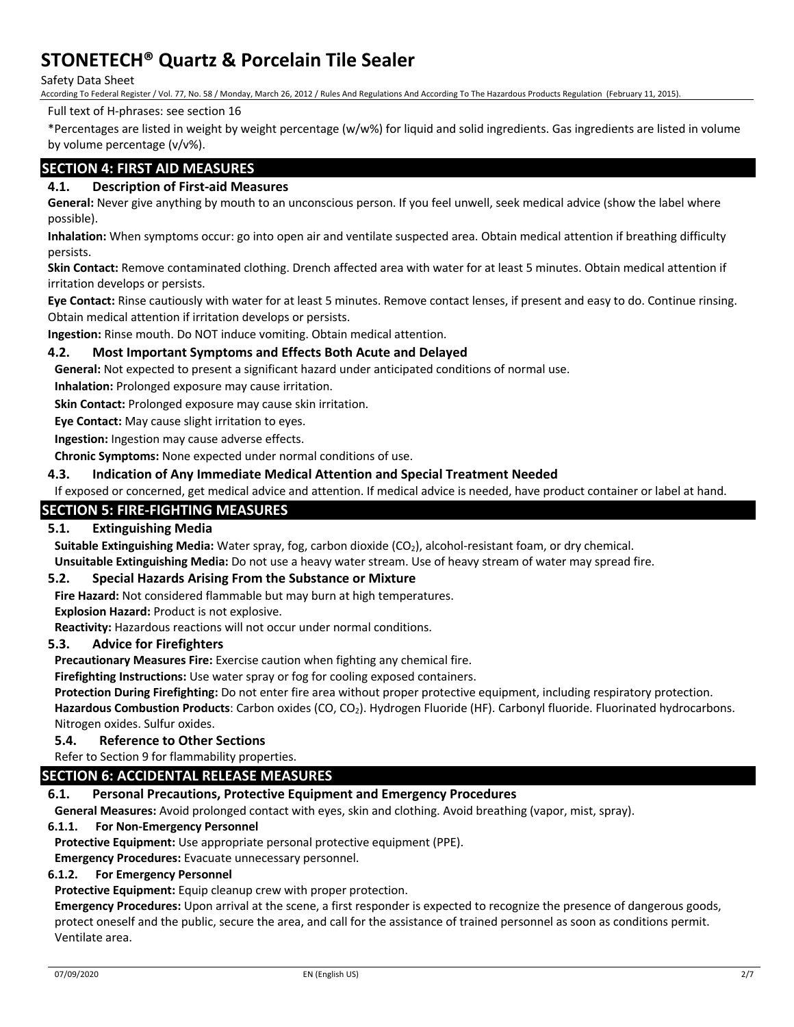Safety Data Sheet

According To Federal Register / Vol. 77, No. 58 / Monday, March 26, 2012 / Rules And Regulations And According To The Hazardous Products Regulation (February 11, 2015).

#### Full text of H-phrases: see section 16

\*Percentages are listed in weight by weight percentage (w/w%) for liquid and solid ingredients. Gas ingredients are listed in volume by volume percentage (v/v%).

## **SECTION 4: FIRST AID MEASURES**

## **4.1. Description of First-aid Measures**

**General:** Never give anything by mouth to an unconscious person. If you feel unwell, seek medical advice (show the label where possible).

**Inhalation:** When symptoms occur: go into open air and ventilate suspected area. Obtain medical attention if breathing difficulty persists.

**Skin Contact:** Remove contaminated clothing. Drench affected area with water for at least 5 minutes. Obtain medical attention if irritation develops or persists.

**Eye Contact:** Rinse cautiously with water for at least 5 minutes. Remove contact lenses, if present and easy to do. Continue rinsing. Obtain medical attention if irritation develops or persists.

**Ingestion:** Rinse mouth. Do NOT induce vomiting. Obtain medical attention.

## **4.2. Most Important Symptoms and Effects Both Acute and Delayed**

**General:** Not expected to present a significant hazard under anticipated conditions of normal use.

**Inhalation:** Prolonged exposure may cause irritation.

**Skin Contact:** Prolonged exposure may cause skin irritation.

**Eye Contact:** May cause slight irritation to eyes.

**Ingestion:** Ingestion may cause adverse effects.

**Chronic Symptoms:** None expected under normal conditions of use.

#### **4.3. Indication of Any Immediate Medical Attention and Special Treatment Needed**

If exposed or concerned, get medical advice and attention. If medical advice is needed, have product container or label at hand.

## **SECTION 5: FIRE-FIGHTING MEASURES**

## **5.1. Extinguishing Media**

**Suitable Extinguishing Media:** Water spray, fog, carbon dioxide (CO<sub>2</sub>), alcohol-resistant foam, or dry chemical.

**Unsuitable Extinguishing Media:** Do not use a heavy water stream. Use of heavy stream of water may spread fire.

#### **5.2. Special Hazards Arising From the Substance or Mixture**

**Fire Hazard:** Not considered flammable but may burn at high temperatures.

**Explosion Hazard:** Product is not explosive.

**Reactivity:** Hazardous reactions will not occur under normal conditions.

#### **5.3. Advice for Firefighters**

**Precautionary Measures Fire:** Exercise caution when fighting any chemical fire.

**Firefighting Instructions:** Use water spray or fog for cooling exposed containers.

**Protection During Firefighting:** Do not enter fire area without proper protective equipment, including respiratory protection.

Hazardous Combustion Products: Carbon oxides (CO, CO<sub>2</sub>). Hydrogen Fluoride (HF). Carbonyl fluoride. Fluorinated hydrocarbons. Nitrogen oxides. Sulfur oxides.

#### **5.4. Reference to Other Sections**

Refer to Section 9 for flammability properties.

#### **SECTION 6: ACCIDENTAL RELEASE MEASURES**

#### **6.1. Personal Precautions, Protective Equipment and Emergency Procedures**

**General Measures:** Avoid prolonged contact with eyes, skin and clothing. Avoid breathing (vapor, mist, spray).

#### **6.1.1. For Non-Emergency Personnel**

**Protective Equipment:** Use appropriate personal protective equipment (PPE).

**Emergency Procedures:** Evacuate unnecessary personnel.

## **6.1.2. For Emergency Personnel**

**Protective Equipment:** Equip cleanup crew with proper protection.

**Emergency Procedures:** Upon arrival at the scene, a first responder is expected to recognize the presence of dangerous goods, protect oneself and the public, secure the area, and call for the assistance of trained personnel as soon as conditions permit. Ventilate area.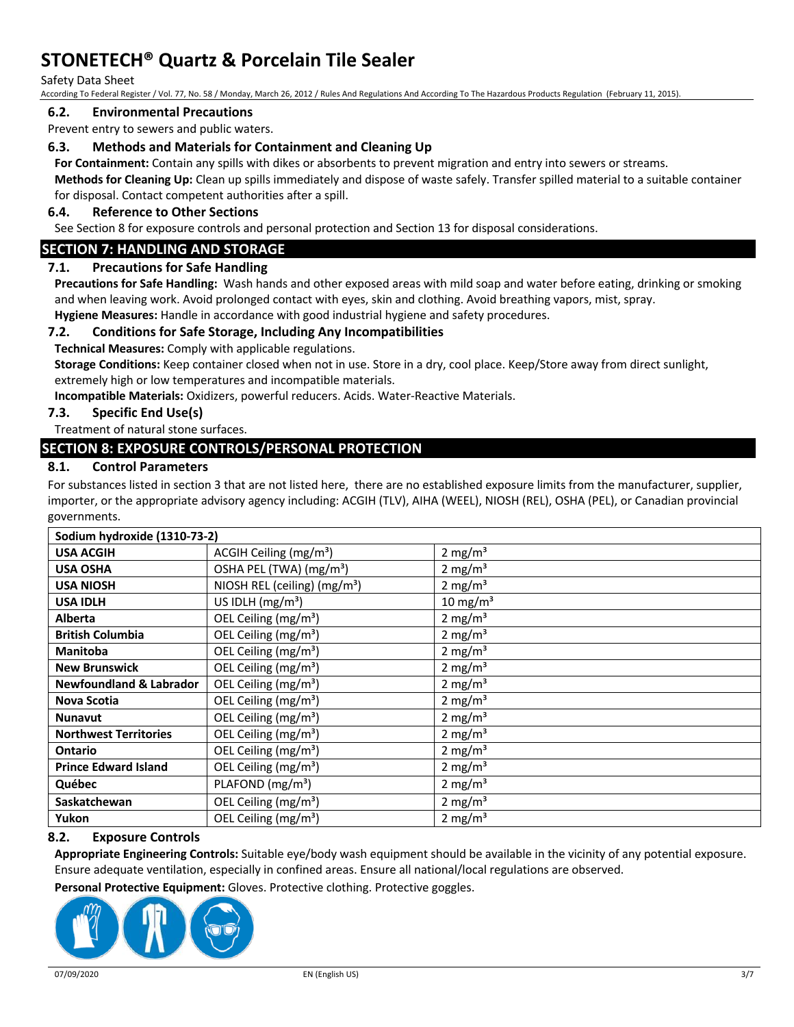#### Safety Data Sheet

According To Federal Register / Vol. 77, No. 58 / Monday, March 26, 2012 / Rules And Regulations And According To The Hazardous Products Regulation (February 11, 2015).

#### **6.2. Environmental Precautions**

Prevent entry to sewers and public waters.

#### **6.3. Methods and Materials for Containment and Cleaning Up**

**For Containment:** Contain any spills with dikes or absorbents to prevent migration and entry into sewers or streams.

**Methods for Cleaning Up:** Clean up spills immediately and dispose of waste safely. Transfer spilled material to a suitable container for disposal. Contact competent authorities after a spill.

#### **6.4. Reference to Other Sections**

See Section 8 for exposure controls and personal protection and Section 13 for disposal considerations.

#### **SECTION 7: HANDLING AND STORAGE**

#### **7.1. Precautions for Safe Handling**

**Precautions for Safe Handling:** Wash hands and other exposed areas with mild soap and water before eating, drinking or smoking and when leaving work. Avoid prolonged contact with eyes, skin and clothing. Avoid breathing vapors, mist, spray.

**Hygiene Measures:** Handle in accordance with good industrial hygiene and safety procedures.

#### **7.2. Conditions for Safe Storage, Including Any Incompatibilities**

**Technical Measures:** Comply with applicable regulations.

**Storage Conditions:** Keep container closed when not in use. Store in a dry, cool place. Keep/Store away from direct sunlight, extremely high or low temperatures and incompatible materials.

**Incompatible Materials:** Oxidizers, powerful reducers. Acids. Water-Reactive Materials.

#### **7.3. Specific End Use(s)**

Treatment of natural stone surfaces.

## **SECTION 8: EXPOSURE CONTROLS/PERSONAL PROTECTION**

#### **8.1. Control Parameters**

For substances listed in section 3 that are not listed here, there are no established exposure limits from the manufacturer, supplier, importer, or the appropriate advisory agency including: ACGIH (TLV), AIHA (WEEL), NIOSH (REL), OSHA (PEL), or Canadian provincial governments.

| Sodium hydroxide (1310-73-2)       |                                     |                     |
|------------------------------------|-------------------------------------|---------------------|
| <b>USA ACGIH</b>                   | ACGIH Ceiling ( $mg/m3$ )           | 2 mg/ $m3$          |
| <b>USA OSHA</b>                    | OSHA PEL (TWA) (mg/m <sup>3</sup> ) | 2 mg/m <sup>3</sup> |
| <b>USA NIOSH</b>                   | NIOSH REL (ceiling) $(mg/m3)$       | 2 mg/m <sup>3</sup> |
| <b>USA IDLH</b>                    | US IDLH $(mg/m3)$                   | 10 mg/m $3$         |
| <b>Alberta</b>                     | OEL Ceiling $(mg/m3)$               | 2 mg/m <sup>3</sup> |
| <b>British Columbia</b>            | OEL Ceiling (mg/m <sup>3</sup> )    | 2 mg/m <sup>3</sup> |
| <b>Manitoba</b>                    | OEL Ceiling (mg/m <sup>3</sup> )    | 2 mg/m <sup>3</sup> |
| <b>New Brunswick</b>               | OEL Ceiling (mg/m <sup>3</sup> )    | 2 mg/m <sup>3</sup> |
| <b>Newfoundland &amp; Labrador</b> | OEL Ceiling (mg/m <sup>3</sup> )    | 2 mg/m <sup>3</sup> |
| Nova Scotia                        | OEL Ceiling $(mg/m3)$               | 2 mg/m <sup>3</sup> |
| <b>Nunavut</b>                     | OEL Ceiling $(mg/m3)$               | 2 mg/m <sup>3</sup> |
| <b>Northwest Territories</b>       | OEL Ceiling (mg/m <sup>3</sup> )    | 2 mg/m <sup>3</sup> |
| <b>Ontario</b>                     | OEL Ceiling (mg/m <sup>3</sup> )    | 2 mg/m <sup>3</sup> |
| <b>Prince Edward Island</b>        | OEL Ceiling ( $mg/m3$ )             | 2 mg/m <sup>3</sup> |
| Québec                             | PLAFOND (mg/m <sup>3</sup> )        | 2 mg/m <sup>3</sup> |
| Saskatchewan                       | OEL Ceiling $(mg/m3)$               | 2 mg/m <sup>3</sup> |
| Yukon                              | OEL Ceiling (mg/m <sup>3</sup> )    | 2 mg/m <sup>3</sup> |

#### **8.2. Exposure Controls**

**Appropriate Engineering Controls:** Suitable eye/body wash equipment should be available in the vicinity of any potential exposure. Ensure adequate ventilation, especially in confined areas. Ensure all national/local regulations are observed.

**Personal Protective Equipment:** Gloves. Protective clothing. Protective goggles.

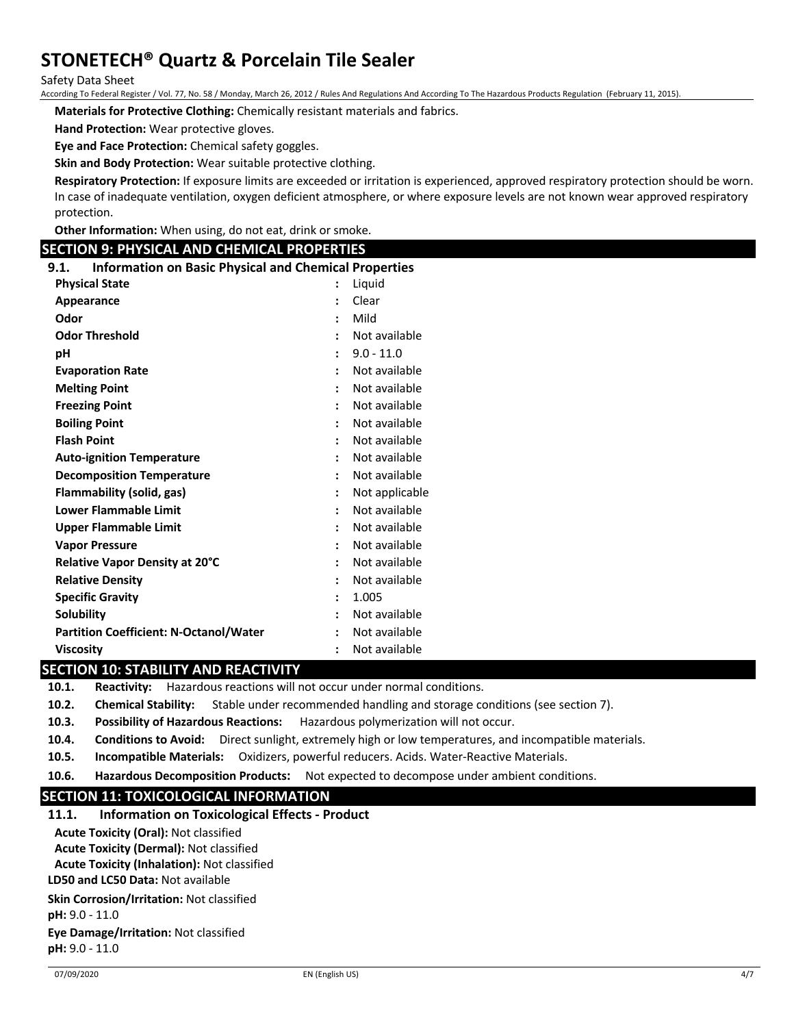Safety Data Sheet

According To Federal Register / Vol. 77, No. 58 / Monday, March 26, 2012 / Rules And Regulations And According To The Hazardous Products Regulation (February 11, 2015).

**Materials for Protective Clothing:** Chemically resistant materials and fabrics.

**Hand Protection:** Wear protective gloves.

**Eye and Face Protection:** Chemical safety goggles.

**Skin and Body Protection:** Wear suitable protective clothing.

**Respiratory Protection:** If exposure limits are exceeded or irritation is experienced, approved respiratory protection should be worn. In case of inadequate ventilation, oxygen deficient atmosphere, or where exposure levels are not known wear approved respiratory protection.

**Other Information:** When using, do not eat, drink or smoke.

## **SECTION 9: PHYSICAL AND CHEMICAL PROPERTIES**

| <b>Information on Basic Physical and Chemical Properties</b><br>9.1. |                |                |
|----------------------------------------------------------------------|----------------|----------------|
| <b>Physical State</b>                                                |                | Liquid         |
| Appearance                                                           | $\ddot{\cdot}$ | Clear          |
| Odor                                                                 | $\ddot{\cdot}$ | Mild           |
| <b>Odor Threshold</b>                                                |                | Not available  |
| рH                                                                   |                | $9.0 - 11.0$   |
| <b>Evaporation Rate</b>                                              |                | Not available  |
| <b>Melting Point</b>                                                 | $\ddot{\cdot}$ | Not available  |
| <b>Freezing Point</b>                                                | $\cdot$        | Not available  |
| <b>Boiling Point</b>                                                 |                | Not available  |
| <b>Flash Point</b>                                                   |                | Not available  |
| <b>Auto-ignition Temperature</b>                                     |                | Not available  |
| <b>Decomposition Temperature</b>                                     | $\ddot{\cdot}$ | Not available  |
| <b>Flammability (solid, gas)</b>                                     | $\ddot{\cdot}$ | Not applicable |
| <b>Lower Flammable Limit</b>                                         |                | Not available  |
| <b>Upper Flammable Limit</b>                                         |                | Not available  |
| <b>Vapor Pressure</b>                                                |                | Not available  |
| Relative Vapor Density at 20°C                                       |                | Not available  |
| <b>Relative Density</b>                                              |                | Not available  |
| <b>Specific Gravity</b>                                              |                | 1.005          |
| <b>Solubility</b>                                                    |                | Not available  |
| <b>Partition Coefficient: N-Octanol/Water</b>                        |                | Not available  |
| <b>Viscosity</b>                                                     |                | Not available  |

## **SECTION 10: STABILITY AND REACTIVITY**

**10.1. Reactivity:** Hazardous reactions will not occur under normal conditions.

- **10.2. Chemical Stability:** Stable under recommended handling and storage conditions (see section 7).
- **10.3. Possibility of Hazardous Reactions:** Hazardous polymerization will not occur.
- **10.4. Conditions to Avoid:** Direct sunlight, extremely high or low temperatures, and incompatible materials.
- **10.5. Incompatible Materials:** Oxidizers, powerful reducers. Acids. Water-Reactive Materials.
- **10.6. Hazardous Decomposition Products:** Not expected to decompose under ambient conditions.

## **SECTION 11: TOXICOLOGICAL INFORMATION**

| 11.1. | <b>Information on Toxicological Effects - Product</b> |
|-------|-------------------------------------------------------|
|-------|-------------------------------------------------------|

**Acute Toxicity (Oral):** Not classified

**Acute Toxicity (Dermal):** Not classified

**Acute Toxicity (Inhalation):** Not classified

**LD50 and LC50 Data:** Not available

**Skin Corrosion/Irritation:** Not classified

**pH:** 9.0 - 11.0

**Eye Damage/Irritation:** Not classified **pH:** 9.0 - 11.0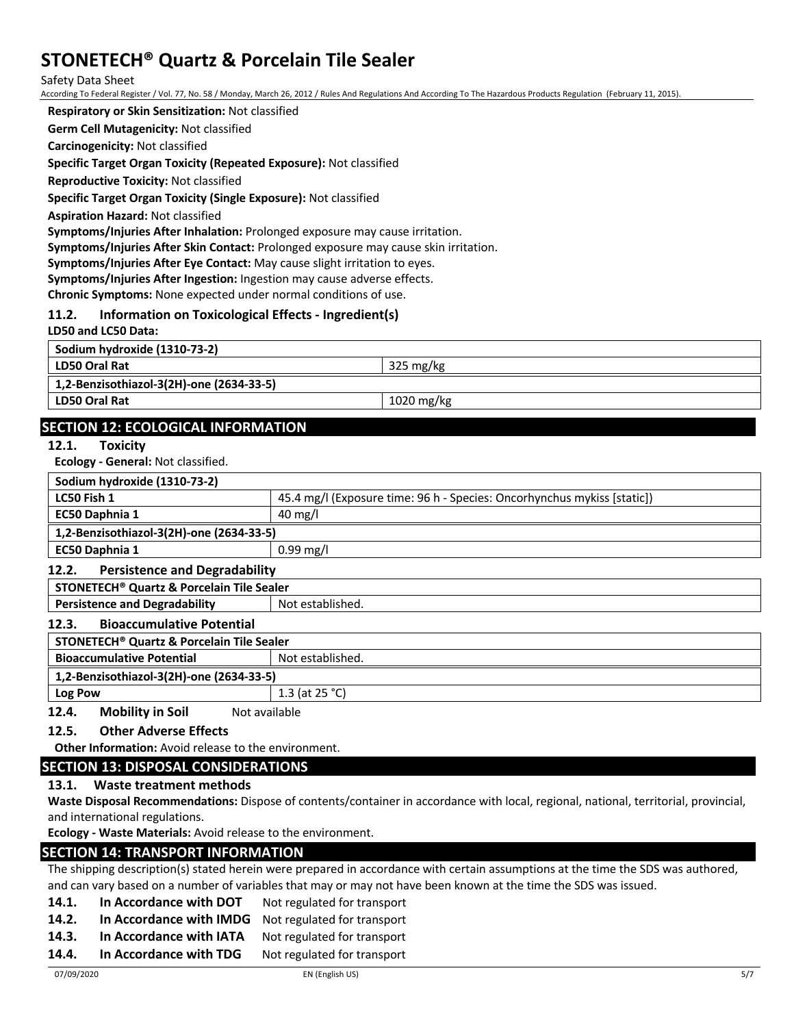Safety Data Sheet

According To Federal Register / Vol. 77, No. 58 / Monday, March 26, 2012 / Rules And Regulations And According To The Hazardous Products Regulation (February 11, 2015).

**Respiratory or Skin Sensitization:** Not classified

**Germ Cell Mutagenicity:** Not classified

**Carcinogenicity:** Not classified

**Specific Target Organ Toxicity (Repeated Exposure):** Not classified

**Reproductive Toxicity:** Not classified

**Specific Target Organ Toxicity (Single Exposure):** Not classified

**Aspiration Hazard:** Not classified

**Symptoms/Injuries After Inhalation:** Prolonged exposure may cause irritation.

**Symptoms/Injuries After Skin Contact:** Prolonged exposure may cause skin irritation.

**Symptoms/Injuries After Eye Contact:** May cause slight irritation to eyes.

**Symptoms/Injuries After Ingestion:** Ingestion may cause adverse effects.

**Chronic Symptoms:** None expected under normal conditions of use.

## **11.2. Information on Toxicological Effects - Ingredient(s)**

**LD50 and LC50 Data:**

| Sodium hydroxide (1310-73-2)             |                     |
|------------------------------------------|---------------------|
| LD50 Oral Rat                            | $325 \text{ mg/kg}$ |
| 1,2-Benzisothiazol-3(2H)-one (2634-33-5) |                     |
| LD50 Oral Rat                            | 1020 mg/kg          |
|                                          |                     |

## **SECTION 12: ECOLOGICAL INFORMATION**

**12.1. Toxicity**

**Ecology - General:** Not classified.

| <b>LUDIOSY OCHURUI.</b> NOL CROSSINCO.                |                                                                         |  |
|-------------------------------------------------------|-------------------------------------------------------------------------|--|
| Sodium hydroxide (1310-73-2)                          |                                                                         |  |
| LC50 Fish 1                                           | 45.4 mg/l (Exposure time: 96 h - Species: Oncorhynchus mykiss [static]) |  |
| EC50 Daphnia 1                                        | $40 \text{ mg/l}$                                                       |  |
| 1,2-Benzisothiazol-3(2H)-one (2634-33-5)              |                                                                         |  |
| EC50 Daphnia 1                                        | $0.99$ mg/l                                                             |  |
| <b>Persistence and Degradability</b><br>12.2.         |                                                                         |  |
| STONETECH <sup>®</sup> Quartz & Porcelain Tile Sealer |                                                                         |  |
| <b>Persistence and Degradability</b>                  | Not established.                                                        |  |
| <b>Bioaccumulative Potential</b><br>12.3.             |                                                                         |  |
| STONETECH <sup>®</sup> Quartz & Porcelain Tile Sealer |                                                                         |  |

| <b>Bioaccumulative Potential</b>                   | Not established.  |
|----------------------------------------------------|-------------------|
| 1,2-Benzisothiazol-3(2H)-one (2634-33-5)           |                   |
| <b>Log Pow</b>                                     | 1.3 (at $25 °C$ ) |
| Mobility in Soil<br>12 $\Lambda$<br>Alot available |                   |

**12.4. Mobility in Soil** Not available

**12.5. Other Adverse Effects**

**Other Information:** Avoid release to the environment.

## **SECTION 13: DISPOSAL CONSIDERATIONS**

#### **13.1. Waste treatment methods**

**Waste Disposal Recommendations:** Dispose of contents/container in accordance with local, regional, national, territorial, provincial, and international regulations.

**Ecology - Waste Materials:** Avoid release to the environment.

#### **SECTION 14: TRANSPORT INFORMATION**

The shipping description(s) stated herein were prepared in accordance with certain assumptions at the time the SDS was authored, and can vary based on a number of variables that may or may not have been known at the time the SDS was issued.

- **14.1. In Accordance with DOT** Not regulated for transport
- **14.2. In Accordance with IMDG** Not regulated for transport
- 14.3. In Accordance with IATA Not regulated for transport
- 14.4. In Accordance with TDG Not regulated for transport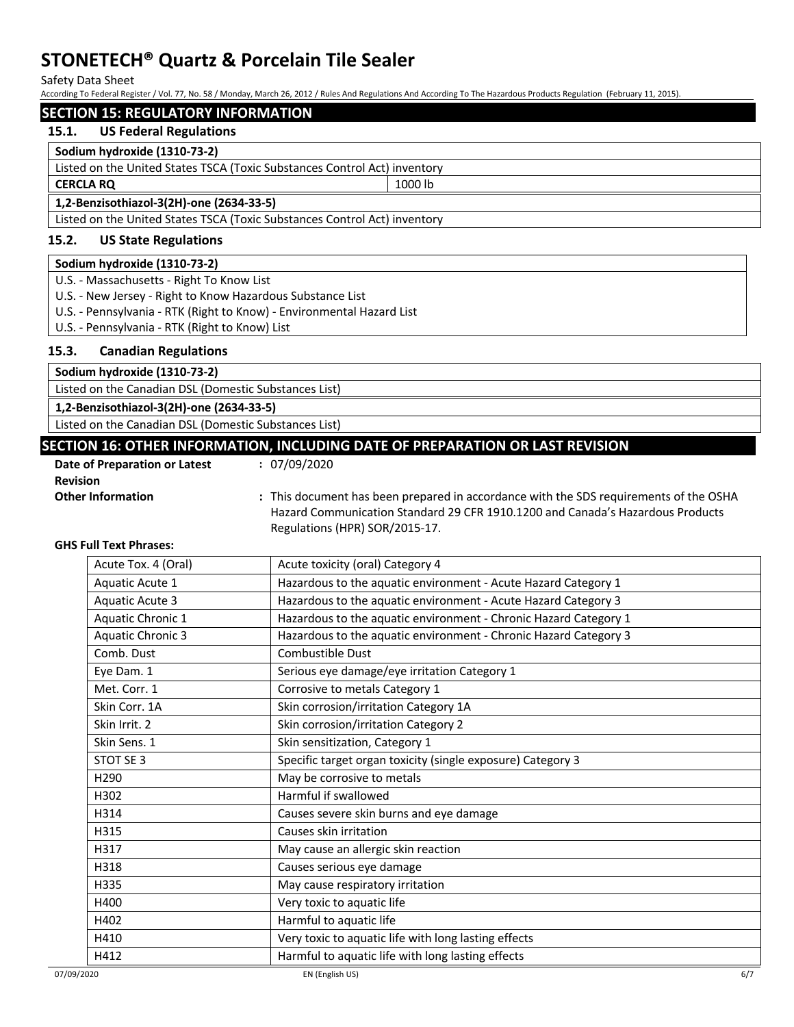Safety Data Sheet

According To Federal Register / Vol. 77, No. 58 / Monday, March 26, 2012 / Rules And Regulations And According To The Hazardous Products Regulation (February 11, 2015).

### **SECTION 15: REGULATORY INFORMATION**

#### **15.1. US Federal Regulations**

#### **Sodium hydroxide (1310-73-2)**

Listed on the United States TSCA (Toxic Substances Control Act) inventory **CERCLA RQ** 1000 lb

## **1,2-Benzisothiazol-3(2H)-one (2634-33-5)**

Listed on the United States TSCA (Toxic Substances Control Act) inventory

## **15.2. US State Regulations**

#### **Sodium hydroxide (1310-73-2)**

U.S. - Massachusetts - Right To Know List

- U.S. New Jersey Right to Know Hazardous Substance List
- U.S. Pennsylvania RTK (Right to Know) Environmental Hazard List
- U.S. Pennsylvania RTK (Right to Know) List

### **15.3. Canadian Regulations**

| Sodium hydroxide (1310-73-2)                                                  |  |
|-------------------------------------------------------------------------------|--|
| Listed on the Canadian DSL (Domestic Substances List)                         |  |
| 1,2-Benzisothiazol-3(2H)-one (2634-33-5)                                      |  |
| Listed on the Canadian DSL (Domestic Substances List)                         |  |
| SECTION 16: OTHER INFORMATION, INCLUDING DATE OF PREPARATION OR LAST REVISION |  |

**Date of Preparation or Latest Revision :** 07/09/2020

**Other Information :** This document has been prepared in accordance with the SDS requirements of the OSHA Hazard Communication Standard 29 CFR 1910.1200 and Canada's Hazardous Products Regulations (HPR) SOR/2015-17.

#### **GHS Full Text Phrases:**

| Acute Tox. 4 (Oral)      | Acute toxicity (oral) Category 4                                 |
|--------------------------|------------------------------------------------------------------|
| Aquatic Acute 1          | Hazardous to the aquatic environment - Acute Hazard Category 1   |
| <b>Aquatic Acute 3</b>   | Hazardous to the aquatic environment - Acute Hazard Category 3   |
| Aquatic Chronic 1        | Hazardous to the aquatic environment - Chronic Hazard Category 1 |
| <b>Aquatic Chronic 3</b> | Hazardous to the aquatic environment - Chronic Hazard Category 3 |
| Comb. Dust               | Combustible Dust                                                 |
| Eye Dam. 1               | Serious eye damage/eye irritation Category 1                     |
| Met. Corr. 1             | Corrosive to metals Category 1                                   |
| Skin Corr. 1A            | Skin corrosion/irritation Category 1A                            |
| Skin Irrit. 2            | Skin corrosion/irritation Category 2                             |
| Skin Sens. 1             | Skin sensitization, Category 1                                   |
| STOT SE 3                | Specific target organ toxicity (single exposure) Category 3      |
| H <sub>290</sub>         | May be corrosive to metals                                       |
| H302                     | Harmful if swallowed                                             |
| H314                     | Causes severe skin burns and eye damage                          |
| H315                     | Causes skin irritation                                           |
| H317                     | May cause an allergic skin reaction                              |
| H318                     | Causes serious eye damage                                        |
| H335                     | May cause respiratory irritation                                 |
| H400                     | Very toxic to aquatic life                                       |
| H402                     | Harmful to aquatic life                                          |
| H410                     | Very toxic to aquatic life with long lasting effects             |
| H412                     | Harmful to aquatic life with long lasting effects                |